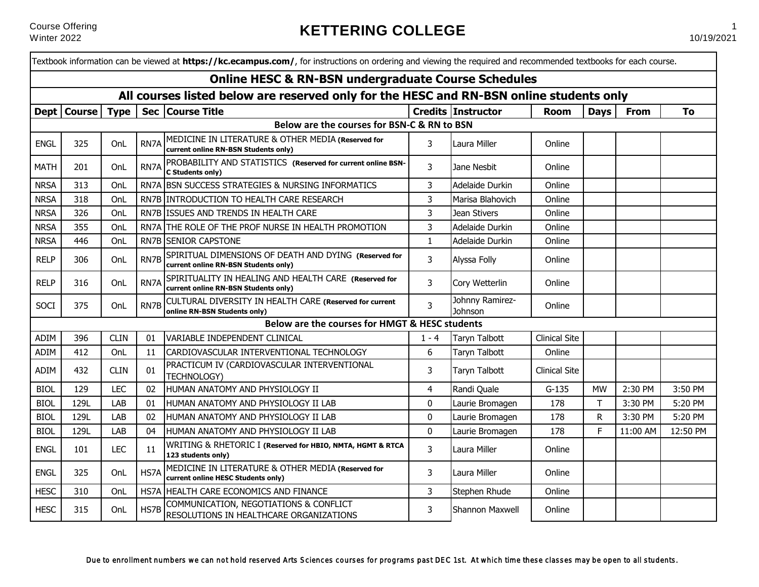|                                                                                         |               |             |      | Textbook information can be viewed at <b>https://kc.ecampus.com/</b> , for instructions on ordering and viewing the required and recommended textbooks for each course. |              |                            |                      |             |             |          |  |
|-----------------------------------------------------------------------------------------|---------------|-------------|------|-------------------------------------------------------------------------------------------------------------------------------------------------------------------------|--------------|----------------------------|----------------------|-------------|-------------|----------|--|
|                                                                                         |               |             |      | <b>Online HESC &amp; RN-BSN undergraduate Course Schedules</b>                                                                                                          |              |                            |                      |             |             |          |  |
| All courses listed below are reserved only for the HESC and RN-BSN online students only |               |             |      |                                                                                                                                                                         |              |                            |                      |             |             |          |  |
|                                                                                         | Dept   Course | <b>Type</b> |      | Sec   Course Title                                                                                                                                                      |              | <b>Credits Instructor</b>  | Room                 | <b>Days</b> | <b>From</b> | To       |  |
| Below are the courses for BSN-C & RN to BSN                                             |               |             |      |                                                                                                                                                                         |              |                            |                      |             |             |          |  |
| <b>ENGL</b>                                                                             | 325           | OnL         | RN7A | MEDICINE IN LITERATURE & OTHER MEDIA (Reserved for<br>current online RN-BSN Students only)                                                                              | 3            | Laura Miller               | Online               |             |             |          |  |
| <b>MATH</b>                                                                             | 201           | OnL         | RN7A | PROBABILITY AND STATISTICS (Reserved for current online BSN-<br>C Students only)                                                                                        | 3            | Jane Nesbit                | Online               |             |             |          |  |
| <b>NRSA</b>                                                                             | 313           | OnL         | RN7A | <b>BSN SUCCESS STRATEGIES &amp; NURSING INFORMATICS</b>                                                                                                                 | 3            | Adelaide Durkin            | Online               |             |             |          |  |
| <b>NRSA</b>                                                                             | 318           | OnL         |      | RN7B INTRODUCTION TO HEALTH CARE RESEARCH                                                                                                                               | 3            | Marisa Blahovich           | Online               |             |             |          |  |
| <b>NRSA</b>                                                                             | 326           | OnL         | RN7B | ISSUES AND TRENDS IN HEALTH CARE                                                                                                                                        | 3            | Jean Stivers               | Online               |             |             |          |  |
| <b>NRSA</b>                                                                             | 355           | OnL         | RN7A | THE ROLE OF THE PROF NURSE IN HEALTH PROMOTION                                                                                                                          | 3            | Adelaide Durkin            | Online               |             |             |          |  |
| <b>NRSA</b>                                                                             | 446           | OnL         | RN7B | <b>SENIOR CAPSTONE</b>                                                                                                                                                  | $\mathbf{1}$ | Adelaide Durkin            | Online               |             |             |          |  |
| <b>RELP</b>                                                                             | 306           | OnL         | RN7B | SPIRITUAL DIMENSIONS OF DEATH AND DYING (Reserved for<br>current online RN-BSN Students only)                                                                           | 3            | Alyssa Folly               | Online               |             |             |          |  |
| <b>RELP</b>                                                                             | 316           | OnL         | RN7A | SPIRITUALITY IN HEALING AND HEALTH CARE (Reserved for<br>current online RN-BSN Students only)                                                                           | 3            | Cory Wetterlin             | Online               |             |             |          |  |
| SOCI                                                                                    | 375           | OnL         | RN7B | CULTURAL DIVERSITY IN HEALTH CARE (Reserved for current<br>online RN-BSN Students only)                                                                                 | 3            | Johnny Ramirez-<br>Johnson | Online               |             |             |          |  |
|                                                                                         |               |             |      | Below are the courses for HMGT & HESC students                                                                                                                          |              |                            |                      |             |             |          |  |
| ADIM                                                                                    | 396           | <b>CLIN</b> | 01   | VARIABLE INDEPENDENT CLINICAL                                                                                                                                           |              | <b>Taryn Talbott</b>       | <b>Clinical Site</b> |             |             |          |  |
| ADIM                                                                                    | 412           | OnL         | 11   | CARDIOVASCULAR INTERVENTIONAL TECHNOLOGY                                                                                                                                | 6            | Taryn Talbott              | Online               |             |             |          |  |
| ADIM                                                                                    | 432           | <b>CLIN</b> | 01   | PRACTICUM IV (CARDIOVASCULAR INTERVENTIONAL<br>TECHNOLOGY)                                                                                                              | 3            | Taryn Talbott              | <b>Clinical Site</b> |             |             |          |  |
| <b>BIOL</b>                                                                             | 129           | <b>LEC</b>  | 02   | HUMAN ANATOMY AND PHYSIOLOGY II                                                                                                                                         | 4            | Randi Quale                | $G-135$              | <b>MW</b>   | 2:30 PM     | 3:50 PM  |  |
| <b>BIOL</b>                                                                             | 129L          | LAB         | 01   | HUMAN ANATOMY AND PHYSIOLOGY II LAB                                                                                                                                     | $\mathbf{0}$ | Laurie Bromagen            | 178                  | т           | 3:30 PM     | 5:20 PM  |  |
| <b>BIOL</b>                                                                             | 129L          | LAB         | 02   | HUMAN ANATOMY AND PHYSIOLOGY II LAB                                                                                                                                     | $\mathbf 0$  | Laurie Bromagen            | 178                  | R           | 3:30 PM     | 5:20 PM  |  |
| <b>BIOL</b>                                                                             | 129L          | LAB         | 04   | HUMAN ANATOMY AND PHYSIOLOGY II LAB                                                                                                                                     | $\mathbf{0}$ | Laurie Bromagen            | 178                  | F.          | 11:00 AM    | 12:50 PM |  |
| <b>ENGL</b>                                                                             | 101           | <b>LEC</b>  | 11   | WRITING & RHETORIC I (Reserved for HBIO, NMTA, HGMT & RTCA<br>123 students only)                                                                                        | 3            | Laura Miller               | Online               |             |             |          |  |
| <b>ENGL</b>                                                                             | 325           | OnL         | HS7A | MEDICINE IN LITERATURE & OTHER MEDIA (Reserved for<br>current online HESC Students only)                                                                                | 3            | Laura Miller               | Online               |             |             |          |  |
| <b>HESC</b>                                                                             | 310           | OnL         | HS7A | HEALTH CARE ECONOMICS AND FINANCE                                                                                                                                       | 3            | Stephen Rhude              | Online               |             |             |          |  |
| <b>HESC</b>                                                                             | 315           | OnL         | HS7B | COMMUNICATION, NEGOTIATIONS & CONFLICT<br>RESOLUTIONS IN HEALTHCARE ORGANIZATIONS                                                                                       | 3            | Shannon Maxwell            | Online               |             |             |          |  |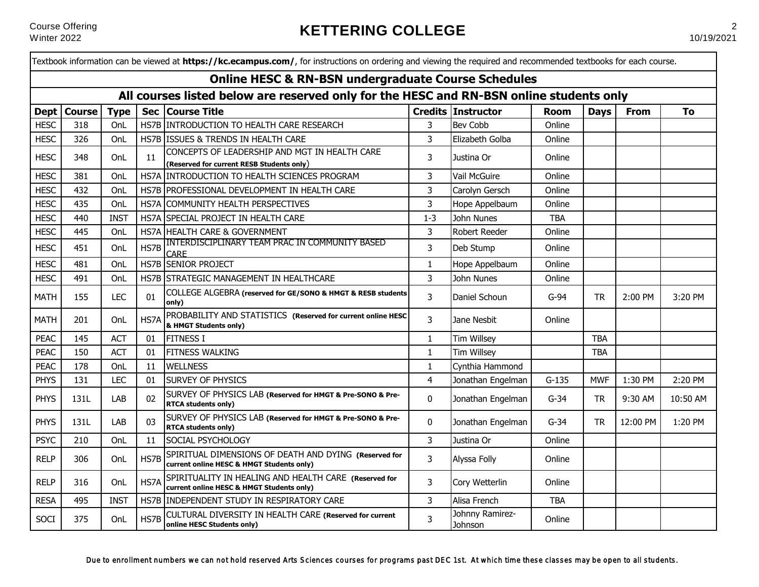|                                                                                         |               |             |            | Textbook information can be viewed at https://kc.ecampus.com/, for instructions on ordering and viewing the required and recommended textbooks for each course. |                |                            |             |             |             |          |
|-----------------------------------------------------------------------------------------|---------------|-------------|------------|-----------------------------------------------------------------------------------------------------------------------------------------------------------------|----------------|----------------------------|-------------|-------------|-------------|----------|
|                                                                                         |               |             |            | <b>Online HESC &amp; RN-BSN undergraduate Course Schedules</b>                                                                                                  |                |                            |             |             |             |          |
| All courses listed below are reserved only for the HESC and RN-BSN online students only |               |             |            |                                                                                                                                                                 |                |                            |             |             |             |          |
| <b>Dept</b>                                                                             | <b>Course</b> | <b>Type</b> | <b>Sec</b> | <b>Course Title</b>                                                                                                                                             |                | <b>Credits Instructor</b>  | <b>Room</b> | <b>Days</b> | <b>From</b> | To       |
| <b>HESC</b>                                                                             | 318           | OnL         |            | HS7B INTRODUCTION TO HEALTH CARE RESEARCH                                                                                                                       | 3              | <b>Bev Cobb</b>            | Online      |             |             |          |
| <b>HESC</b>                                                                             | 326           | OnL         | HS7B       | <b>ISSUES &amp; TRENDS IN HEALTH CARE</b>                                                                                                                       | 3              | Elizabeth Golba            | Online      |             |             |          |
| <b>HESC</b>                                                                             | 348           | OnL         | 11         | CONCEPTS OF LEADERSHIP AND MGT IN HEALTH CARE<br>(Reserved for current RESB Students only)                                                                      | 3              | Justina Or                 | Online      |             |             |          |
| <b>HESC</b>                                                                             | 381           | OnL         | HS7A       | <b>INTRODUCTION TO HEALTH SCIENCES PROGRAM</b>                                                                                                                  | 3              | Vail McGuire               | Online      |             |             |          |
| <b>HESC</b>                                                                             | 432           | OnL         |            | HS7B PROFESSIONAL DEVELOPMENT IN HEALTH CARE                                                                                                                    | 3              | Carolyn Gersch             | Online      |             |             |          |
| <b>HESC</b>                                                                             | 435           | OnL         | HS7A       | COMMUNITY HEALTH PERSPECTIVES                                                                                                                                   | 3              | Hope Appelbaum             | Online      |             |             |          |
| <b>HESC</b>                                                                             | 440           | <b>INST</b> | HS7A       | SPECIAL PROJECT IN HEALTH CARE                                                                                                                                  | $1 - 3$        | John Nunes                 | <b>TBA</b>  |             |             |          |
| <b>HESC</b>                                                                             | 445           | OnL         | HS7A       | HEALTH CARE & GOVERNMENT                                                                                                                                        | 3              | <b>Robert Reeder</b>       | Online      |             |             |          |
| <b>HESC</b>                                                                             | 451           | OnL         | HS7B       | INTERDISCIPLINARY TEAM PRAC IN COMMUNITY BASED<br><b>CARE</b>                                                                                                   | 3              | Deb Stump                  | Online      |             |             |          |
| <b>HESC</b>                                                                             | 481           | OnL         | HS7B       | <b>SENIOR PROJECT</b>                                                                                                                                           | $\mathbf{1}$   | Hope Appelbaum             | Online      |             |             |          |
| <b>HESC</b>                                                                             | 491           | OnL         | HS7B       | <b>STRATEGIC MANAGEMENT IN HEALTHCARE</b>                                                                                                                       | 3              | John Nunes                 | Online      |             |             |          |
| <b>MATH</b>                                                                             | 155           | <b>LEC</b>  | 01         | COLLEGE ALGEBRA (reserved for GE/SONO & HMGT & RESB students<br>lonly)                                                                                          | 3              | Daniel Schoun              | $G-94$      | <b>TR</b>   | 2:00 PM     | 3:20 PM  |
| <b>MATH</b>                                                                             | 201           | OnL         | HS7A       | PROBABILITY AND STATISTICS (Reserved for current online HESC<br>& HMGT Students only)                                                                           | 3              | Jane Nesbit                | Online      |             |             |          |
| <b>PEAC</b>                                                                             | 145           | <b>ACT</b>  | 01         | <b>FITNESS I</b>                                                                                                                                                | 1              | <b>Tim Willsey</b>         |             | <b>TBA</b>  |             |          |
| <b>PEAC</b>                                                                             | 150           | <b>ACT</b>  | 01         | <b>FITNESS WALKING</b>                                                                                                                                          | $\mathbf{1}$   | <b>Tim Willsey</b>         |             | <b>TBA</b>  |             |          |
| <b>PEAC</b>                                                                             | 178           | OnL         | 11         | <b>WELLNESS</b>                                                                                                                                                 | $\mathbf{1}$   | Cynthia Hammond            |             |             |             |          |
| <b>PHYS</b>                                                                             | 131           | <b>LEC</b>  | 01         | <b>SURVEY OF PHYSICS</b>                                                                                                                                        | 4              | Jonathan Engelman          | $G-135$     | <b>MWF</b>  | 1:30 PM     | 2:20 PM  |
| <b>PHYS</b>                                                                             | 131L          | LAB         | 02         | SURVEY OF PHYSICS LAB (Reserved for HMGT & Pre-SONO & Pre-<br><b>RTCA students only)</b>                                                                        | 0              | Jonathan Engelman          | $G-34$      | <b>TR</b>   | 9:30 AM     | 10:50 AM |
| <b>PHYS</b>                                                                             | 131L          | LAB         | 03         | SURVEY OF PHYSICS LAB (Reserved for HMGT & Pre-SONO & Pre-<br><b>RTCA students only)</b>                                                                        | $\mathbf{0}$   | Jonathan Engelman          | $G-34$      | <b>TR</b>   | 12:00 PM    | 1:20 PM  |
| <b>PSYC</b>                                                                             | 210           | OnL         | 11         | <b>SOCIAL PSYCHOLOGY</b>                                                                                                                                        | 3              | Justina Or                 | Online      |             |             |          |
| <b>RELP</b>                                                                             | 306           | OnL         | HS7B       | SPIRITUAL DIMENSIONS OF DEATH AND DYING (Reserved for<br>current online HESC & HMGT Students only)                                                              | $\overline{3}$ | Alyssa Folly               | Online      |             |             |          |
| <b>RELP</b>                                                                             | 316           | OnL         | HS7A       | SPIRITUALITY IN HEALING AND HEALTH CARE (Reserved for<br>current online HESC & HMGT Students only)                                                              | 3              | Cory Wetterlin             | Online      |             |             |          |
| <b>RESA</b>                                                                             | 495           | <b>INST</b> | HS7B       | INDEPENDENT STUDY IN RESPIRATORY CARE                                                                                                                           | 3              | Alisa French               | <b>TBA</b>  |             |             |          |
| SOCI                                                                                    | 375           | OnL         | HS7B       | CULTURAL DIVERSITY IN HEALTH CARE (Reserved for current<br>online HESC Students only)                                                                           | 3              | Johnny Ramirez-<br>Johnson | Online      |             |             |          |